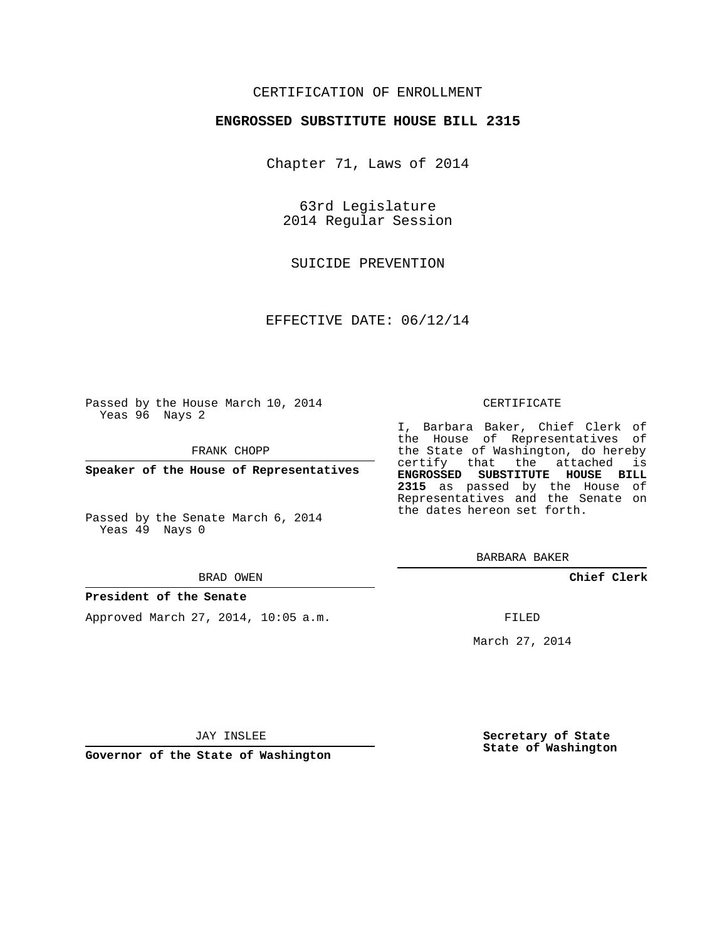# CERTIFICATION OF ENROLLMENT

## **ENGROSSED SUBSTITUTE HOUSE BILL 2315**

Chapter 71, Laws of 2014

63rd Legislature 2014 Regular Session

SUICIDE PREVENTION

EFFECTIVE DATE: 06/12/14

Passed by the House March 10, 2014 Yeas 96 Nays 2

FRANK CHOPP

**Speaker of the House of Representatives**

Passed by the Senate March 6, 2014 Yeas 49 Nays 0

#### BRAD OWEN

### **President of the Senate**

Approved March 27, 2014, 10:05 a.m.

#### CERTIFICATE

I, Barbara Baker, Chief Clerk of the House of Representatives of the State of Washington, do hereby certify that the attached is **ENGROSSED SUBSTITUTE HOUSE BILL 2315** as passed by the House of Representatives and the Senate on the dates hereon set forth.

BARBARA BAKER

**Chief Clerk**

FILED

March 27, 2014

JAY INSLEE

**Governor of the State of Washington**

**Secretary of State State of Washington**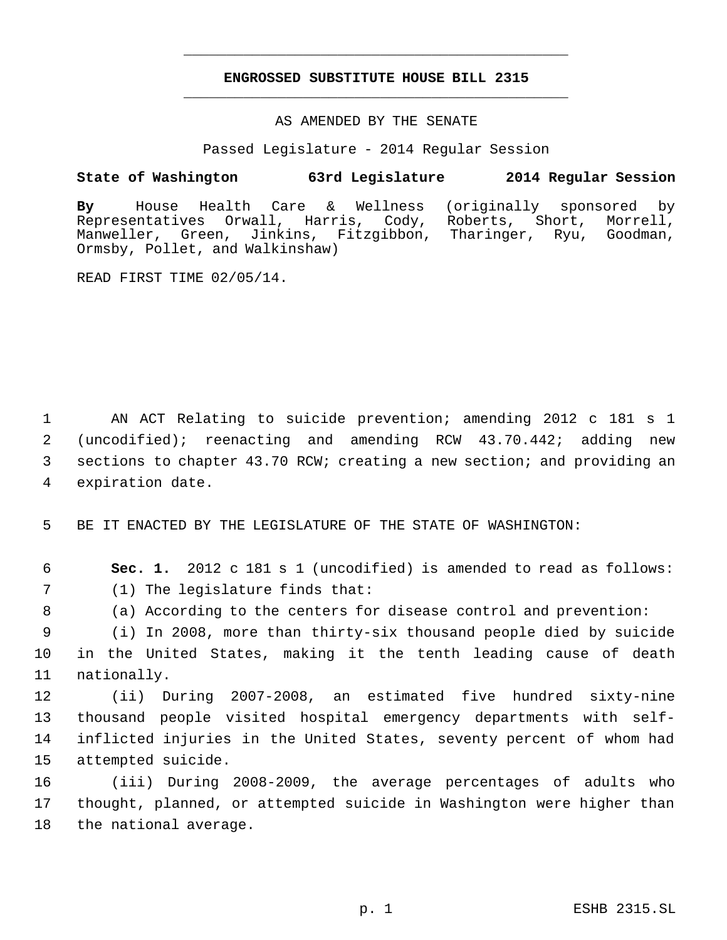# **ENGROSSED SUBSTITUTE HOUSE BILL 2315** \_\_\_\_\_\_\_\_\_\_\_\_\_\_\_\_\_\_\_\_\_\_\_\_\_\_\_\_\_\_\_\_\_\_\_\_\_\_\_\_\_\_\_\_\_

\_\_\_\_\_\_\_\_\_\_\_\_\_\_\_\_\_\_\_\_\_\_\_\_\_\_\_\_\_\_\_\_\_\_\_\_\_\_\_\_\_\_\_\_\_

AS AMENDED BY THE SENATE

Passed Legislature - 2014 Regular Session

# **State of Washington 63rd Legislature 2014 Regular Session**

**By** House Health Care & Wellness (originally sponsored by Orwall, Harris, Cody, Roberts, Short, Morrell, Manweller, Green, Jinkins, Fitzgibbon, Tharinger, Ryu, Goodman, Ormsby, Pollet, and Walkinshaw)

READ FIRST TIME 02/05/14.

 AN ACT Relating to suicide prevention; amending 2012 c 181 s 1 (uncodified); reenacting and amending RCW 43.70.442; adding new sections to chapter 43.70 RCW; creating a new section; and providing an expiration date.

5 BE IT ENACTED BY THE LEGISLATURE OF THE STATE OF WASHINGTON:

 6 **Sec. 1.** 2012 c 181 s 1 (uncodified) is amended to read as follows: 7 (1) The legislature finds that:

8 (a) According to the centers for disease control and prevention:

 9 (i) In 2008, more than thirty-six thousand people died by suicide 10 in the United States, making it the tenth leading cause of death 11 nationally.

 (ii) During 2007-2008, an estimated five hundred sixty-nine thousand people visited hospital emergency departments with self- inflicted injuries in the United States, seventy percent of whom had attempted suicide.

16 (iii) During 2008-2009, the average percentages of adults who 17 thought, planned, or attempted suicide in Washington were higher than 18 the national average.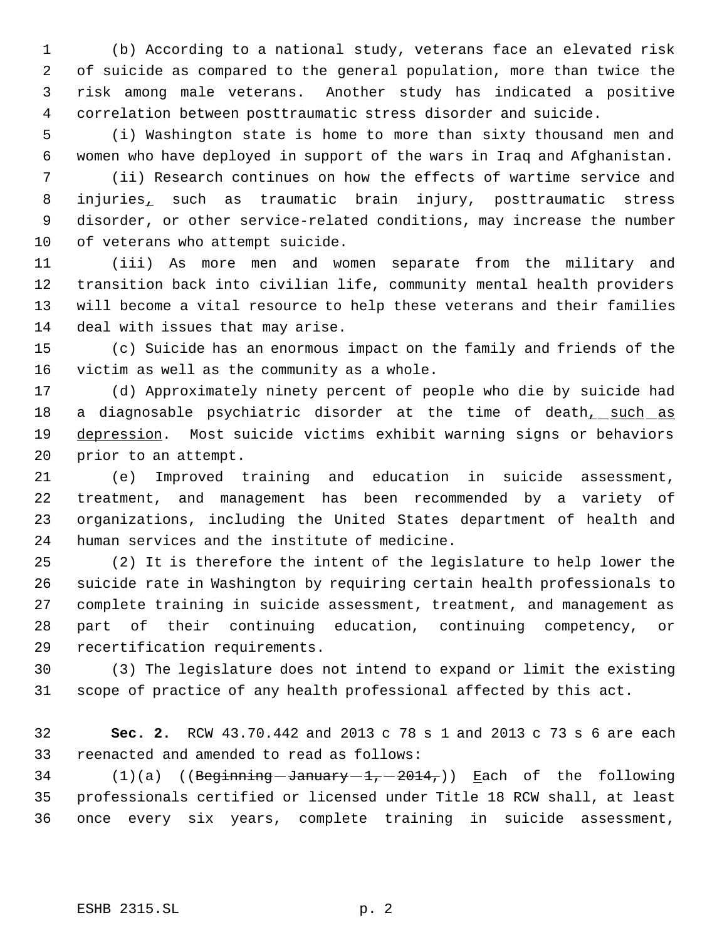(b) According to a national study, veterans face an elevated risk of suicide as compared to the general population, more than twice the risk among male veterans. Another study has indicated a positive correlation between posttraumatic stress disorder and suicide.

 (i) Washington state is home to more than sixty thousand men and women who have deployed in support of the wars in Iraq and Afghanistan.

 (ii) Research continues on how the effects of wartime service and injuries, such as traumatic brain injury, posttraumatic stress disorder, or other service-related conditions, may increase the number of veterans who attempt suicide.

 (iii) As more men and women separate from the military and transition back into civilian life, community mental health providers will become a vital resource to help these veterans and their families deal with issues that may arise.

 (c) Suicide has an enormous impact on the family and friends of the victim as well as the community as a whole.

 (d) Approximately ninety percent of people who die by suicide had 18 a diagnosable psychiatric disorder at the time of death, such as 19 depression. Most suicide victims exhibit warning signs or behaviors prior to an attempt.

 (e) Improved training and education in suicide assessment, treatment, and management has been recommended by a variety of organizations, including the United States department of health and human services and the institute of medicine.

 (2) It is therefore the intent of the legislature to help lower the suicide rate in Washington by requiring certain health professionals to complete training in suicide assessment, treatment, and management as part of their continuing education, continuing competency, or recertification requirements.

 (3) The legislature does not intend to expand or limit the existing scope of practice of any health professional affected by this act.

 **Sec. 2.** RCW 43.70.442 and 2013 c 78 s 1 and 2013 c 73 s 6 are each reenacted and amended to read as follows:

34 (1)(a) ((Beginning January  $-1, -2014,$ )) Each of the following professionals certified or licensed under Title 18 RCW shall, at least once every six years, complete training in suicide assessment,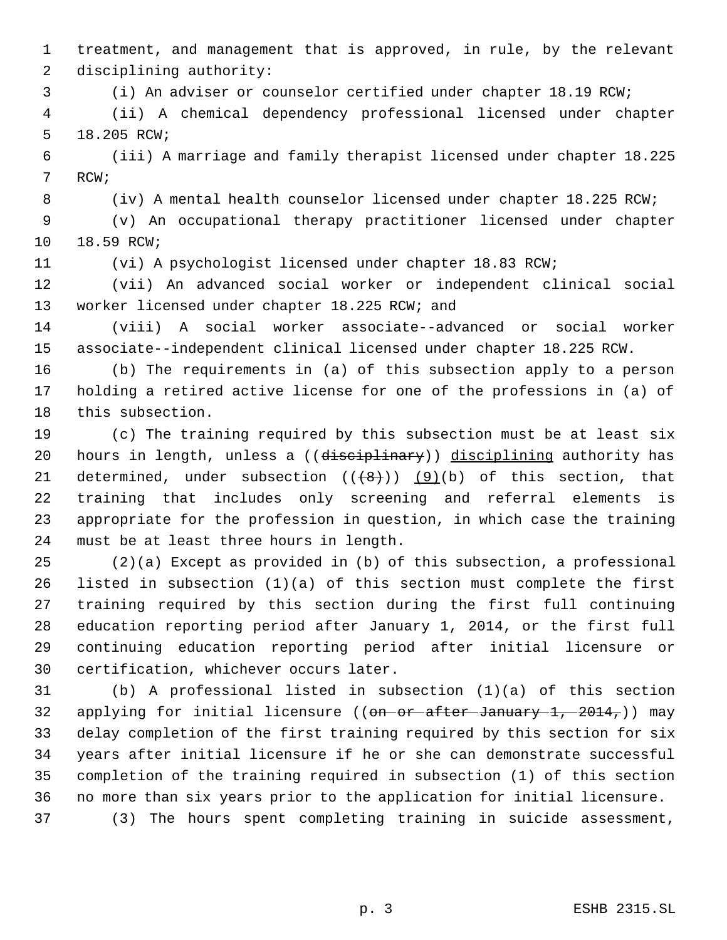treatment, and management that is approved, in rule, by the relevant disciplining authority:

(i) An adviser or counselor certified under chapter 18.19 RCW;

 (ii) A chemical dependency professional licensed under chapter 18.205 RCW;

 (iii) A marriage and family therapist licensed under chapter 18.225 RCW;

(iv) A mental health counselor licensed under chapter 18.225 RCW;

 (v) An occupational therapy practitioner licensed under chapter 18.59 RCW;

(vi) A psychologist licensed under chapter 18.83 RCW;

 (vii) An advanced social worker or independent clinical social worker licensed under chapter 18.225 RCW; and

 (viii) A social worker associate--advanced or social worker associate--independent clinical licensed under chapter 18.225 RCW.

 (b) The requirements in (a) of this subsection apply to a person holding a retired active license for one of the professions in (a) of this subsection.

 (c) The training required by this subsection must be at least six 20 hours in length, unless a ((disciplinary)) disciplining authority has 21 determined, under subsection  $((+8))$  (9)(b) of this section, that training that includes only screening and referral elements is appropriate for the profession in question, in which case the training must be at least three hours in length.

 (2)(a) Except as provided in (b) of this subsection, a professional listed in subsection (1)(a) of this section must complete the first training required by this section during the first full continuing education reporting period after January 1, 2014, or the first full continuing education reporting period after initial licensure or certification, whichever occurs later.

 (b) A professional listed in subsection (1)(a) of this section 32 applying for initial licensure (( $\theta$ n or after January 1, 2014,)) may delay completion of the first training required by this section for six years after initial licensure if he or she can demonstrate successful completion of the training required in subsection (1) of this section no more than six years prior to the application for initial licensure.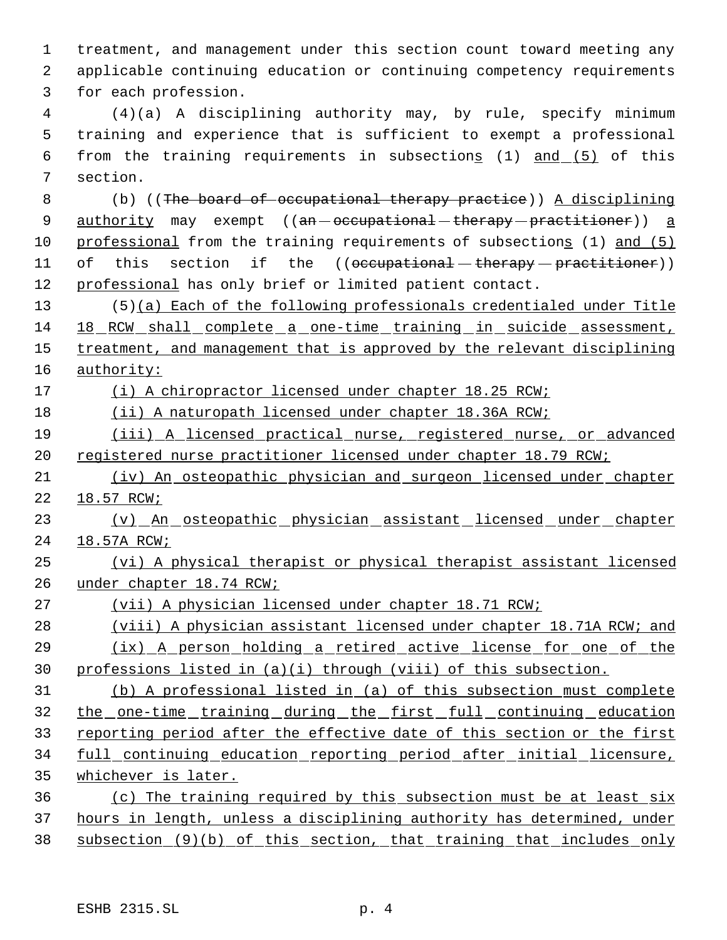treatment, and management under this section count toward meeting any applicable continuing education or continuing competency requirements for each profession.

 (4)(a) A disciplining authority may, by rule, specify minimum training and experience that is sufficient to exempt a professional 6 from the training requirements in subsections (1) and (5) of this section.

 (b) ((The board of occupational therapy practice)) A disciplining 9 authority may exempt ((an - occupational - therapy - practitioner)) a professional from the training requirements of subsections (1) and (5) 11 of this section if the ((occupational therapy practitioner)) professional has only brief or limited patient contact.

 (5)(a) Each of the following professionals credentialed under Title 18 RCW shall complete a one-time training in suicide assessment, 15 treatment, and management that is approved by the relevant disciplining authority:

17 (i) A chiropractor licensed under chapter 18.25 RCW;

(ii) A naturopath licensed under chapter 18.36A RCW;

 (iii) A licensed practical nurse, registered nurse, or advanced 20 registered nurse practitioner licensed under chapter 18.79 RCW;

 (iv) An osteopathic physician and surgeon licensed under chapter 18.57 RCW;

 (v) An osteopathic physician assistant licensed under chapter 18.57A RCW;

 (vi) A physical therapist or physical therapist assistant licensed under chapter 18.74 RCW;

(vii) A physician licensed under chapter 18.71 RCW;

 (viii) A physician assistant licensed under chapter 18.71A RCW; and (ix) A person holding a retired active license for one of the professions listed in (a)(i) through (viii) of this subsection.

 (b) A professional listed in (a) of this subsection must complete 32 the one-time training during the first full continuing education reporting period after the effective date of this section or the first full continuing education reporting period after initial licensure, whichever is later.

 (c) The training required by this subsection must be at least six hours in length, unless a disciplining authority has determined, under subsection (9)(b) of this section, that training that includes only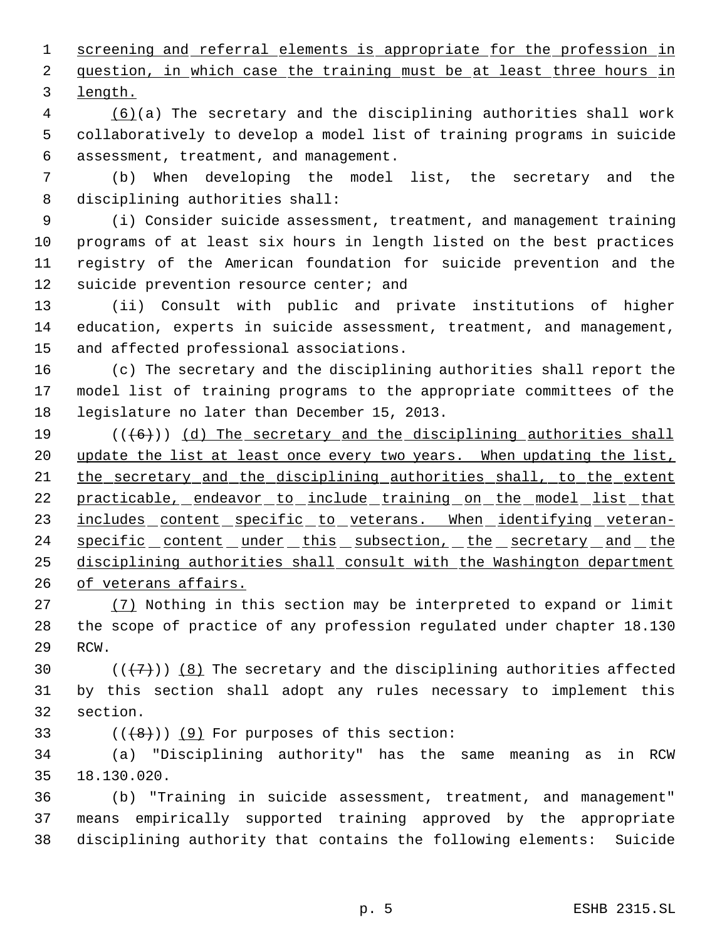1 screening and referral elements is appropriate for the profession in 2 question, in which case the training must be at least three hours in length.

 (6)(a) The secretary and the disciplining authorities shall work collaboratively to develop a model list of training programs in suicide assessment, treatment, and management.

 (b) When developing the model list, the secretary and the disciplining authorities shall:

 (i) Consider suicide assessment, treatment, and management training programs of at least six hours in length listed on the best practices registry of the American foundation for suicide prevention and the 12 suicide prevention resource center; and

 (ii) Consult with public and private institutions of higher education, experts in suicide assessment, treatment, and management, and affected professional associations.

 (c) The secretary and the disciplining authorities shall report the model list of training programs to the appropriate committees of the legislature no later than December 15, 2013.

19  $((+6))$  (d) The secretary and the disciplining authorities shall 20 update the list at least once every two years. When updating the list, the secretary and the disciplining authorities shall, to the extent 22 practicable, endeavor to include training on the model list that 23 includes content specific to veterans. When identifying veteran-24 specific content under this subsection, the secretary and the disciplining authorities shall consult with the Washington department of veterans affairs.

 (7) Nothing in this section may be interpreted to expand or limit the scope of practice of any profession regulated under chapter 18.130 RCW.

30  $((+7)$ )  $(8)$  The secretary and the disciplining authorities affected by this section shall adopt any rules necessary to implement this section.

33  $((\langle 8\rangle)(9)$  For purposes of this section:

 (a) "Disciplining authority" has the same meaning as in RCW 18.130.020.

 (b) "Training in suicide assessment, treatment, and management" means empirically supported training approved by the appropriate disciplining authority that contains the following elements: Suicide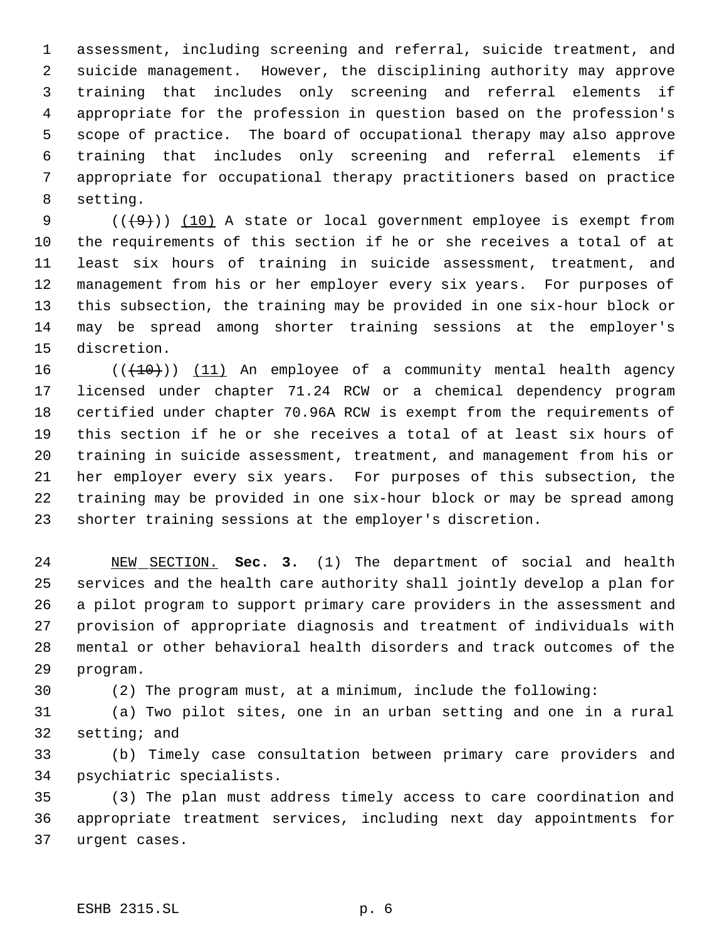assessment, including screening and referral, suicide treatment, and suicide management. However, the disciplining authority may approve training that includes only screening and referral elements if appropriate for the profession in question based on the profession's scope of practice. The board of occupational therapy may also approve training that includes only screening and referral elements if appropriate for occupational therapy practitioners based on practice setting.

 $((+9))$   $(10)$  A state or local government employee is exempt from the requirements of this section if he or she receives a total of at least six hours of training in suicide assessment, treatment, and management from his or her employer every six years. For purposes of this subsection, the training may be provided in one six-hour block or may be spread among shorter training sessions at the employer's discretion.

 $((+10))$  (11) An employee of a community mental health agency licensed under chapter 71.24 RCW or a chemical dependency program certified under chapter 70.96A RCW is exempt from the requirements of this section if he or she receives a total of at least six hours of training in suicide assessment, treatment, and management from his or her employer every six years. For purposes of this subsection, the training may be provided in one six-hour block or may be spread among shorter training sessions at the employer's discretion.

 NEW SECTION. **Sec. 3.** (1) The department of social and health services and the health care authority shall jointly develop a plan for a pilot program to support primary care providers in the assessment and provision of appropriate diagnosis and treatment of individuals with mental or other behavioral health disorders and track outcomes of the program.

(2) The program must, at a minimum, include the following:

 (a) Two pilot sites, one in an urban setting and one in a rural setting; and

 (b) Timely case consultation between primary care providers and psychiatric specialists.

 (3) The plan must address timely access to care coordination and appropriate treatment services, including next day appointments for urgent cases.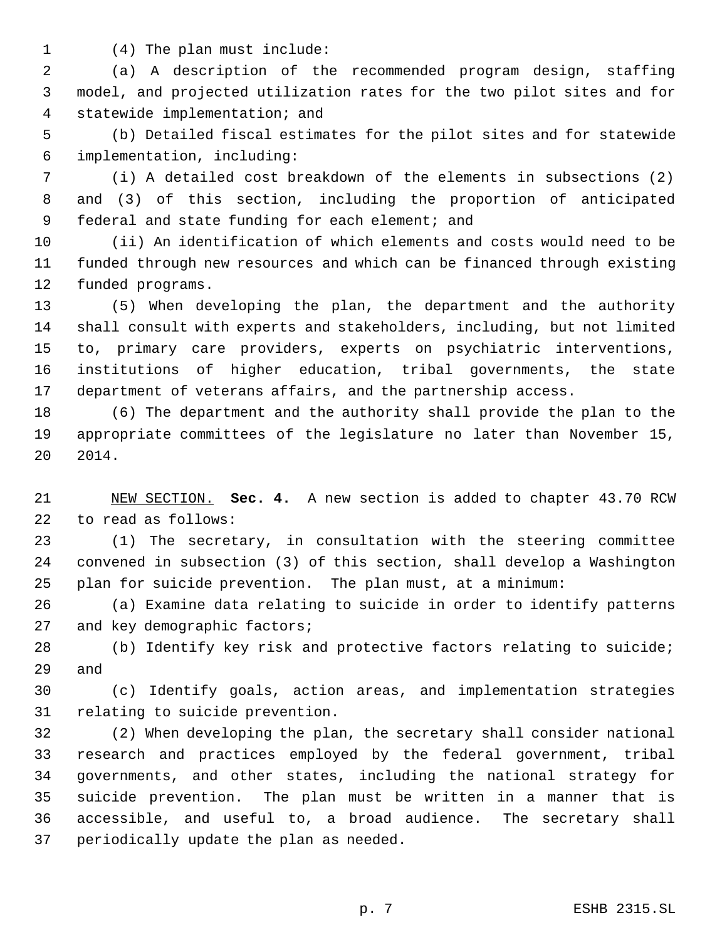(4) The plan must include:

 (a) A description of the recommended program design, staffing model, and projected utilization rates for the two pilot sites and for statewide implementation; and

 (b) Detailed fiscal estimates for the pilot sites and for statewide implementation, including:

 (i) A detailed cost breakdown of the elements in subsections (2) and (3) of this section, including the proportion of anticipated 9 federal and state funding for each element; and

 (ii) An identification of which elements and costs would need to be funded through new resources and which can be financed through existing funded programs.

 (5) When developing the plan, the department and the authority shall consult with experts and stakeholders, including, but not limited to, primary care providers, experts on psychiatric interventions, institutions of higher education, tribal governments, the state department of veterans affairs, and the partnership access.

 (6) The department and the authority shall provide the plan to the appropriate committees of the legislature no later than November 15, 2014.

 NEW SECTION. **Sec. 4.** A new section is added to chapter 43.70 RCW to read as follows:

 (1) The secretary, in consultation with the steering committee convened in subsection (3) of this section, shall develop a Washington plan for suicide prevention. The plan must, at a minimum:

 (a) Examine data relating to suicide in order to identify patterns 27 and key demographic factors;

 (b) Identify key risk and protective factors relating to suicide; and

 (c) Identify goals, action areas, and implementation strategies relating to suicide prevention.

 (2) When developing the plan, the secretary shall consider national research and practices employed by the federal government, tribal governments, and other states, including the national strategy for suicide prevention. The plan must be written in a manner that is accessible, and useful to, a broad audience. The secretary shall periodically update the plan as needed.